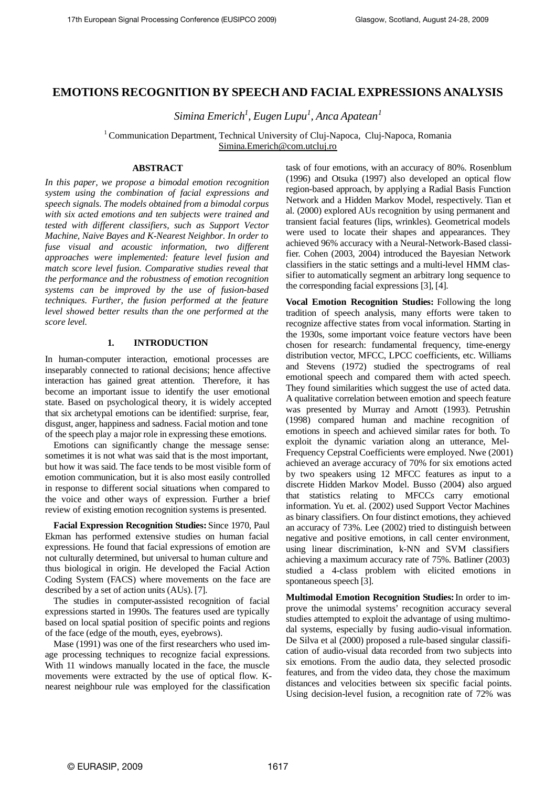# **EMOTIONS RECOGNITION BY SPEECH AND FACIAL EXPRESSIONS ANALYSIS**

*Simina Emerich<sup>1</sup> , Eugen Lupu 1 , Anca Apatean 1*

<sup>1</sup> Communication Department, Technical University of Cluj-Napoca, Cluj-Napoca, Romania [Simina.Emerich@com.utcluj.ro](mailto:Simina.Emerich@com.utcluj.ro)

## **ABSTRACT**

*In this paper, we propose a bimodal emotion recognition system using the combination of facial expressions and speech signals. The models obtained from a bimodal corpus with six acted emotions and ten subjects were trained and tested with different classifiers, such as Support Vector Machine, Naive Bayes and K-Nearest Neighbor. In order to fuse visual and acoustic information, two different approaches were implemented: feature level fusion and match score level fusion. Comparative studies reveal that the performance and the robustness of emotion recognition systems can be improved by the use of fusion-based techniques. Further, the fusion performed at the feature level showed better results than the one performed at the score level.* 

## **1. INTRODUCTION**

In human-computer interaction, emotional processes are inseparably connected to rational decisions; hence affective interaction has gained great attention. Therefore, it has become an important issue to identify the user emotional state. Based on psychological theory, it is widely accepted that six archetypal emotions can be identified: surprise, fear, disgust, anger, happiness and sadness. Facial motion and tone of the speech play a major role in expressing these emotions.

Emotions can significantly change the message sense: sometimes it is not what was said that is the most important, but how it was said. The face tends to be most visible form of emotion communication, but it is also most easily controlled in response to different social situations when compared to the voice and other ways of expression. Further a brief review of existing emotion recognition systems is presented.

**Facial Expression Recognition Studies:** Since 1970, Paul Ekman has performed extensive studies on human facial expressions. He found that facial expressions of emotion are not culturally determined, but universal to human culture and thus biological in origin. He developed the Facial Action Coding System (FACS) where movements on the face are described by a set of action units (AUs). [7].

The studies in computer-assisted recognition of facial expressions started in 1990s. The features used are typically based on local spatial position of specific points and regions of the face (edge of the mouth, eyes, eyebrows).

Mase (1991) was one of the first researchers who used image processing techniques to recognize facial expressions. With 11 windows manually located in the face, the muscle movements were extracted by the use of optical flow. Knearest neighbour rule was employed for the classification

task of four emotions, with an accuracy of 80%. Rosenblum (1996) and Otsuka (1997) also developed an optical flow region-based approach, by applying a Radial Basis Function Network and a Hidden Markov Model, respectively. Tian et al. (2000) explored AUs recognition by using permanent and transient facial features (lips, wrinkles). Geometrical models were used to locate their shapes and appearances. They achieved 96% accuracy with a Neural-Network-Based classifier. Cohen (2003, 2004) introduced the Bayesian Network classifiers in the static settings and a multi-level HMM classifier to automatically segment an arbitrary long sequence to the corresponding facial expressions [3], [4].

**Vocal Emotion Recognition Studies:** Following the long tradition of speech analysis, many efforts were taken to recognize affective states from vocal information. Starting in the 1930s, some important voice feature vectors have been chosen for research: fundamental frequency, time-energy distribution vector, MFCC, LPCC coefficients, etc. Williams and Stevens (1972) studied the spectrograms of real emotional speech and compared them with acted speech. They found similarities which suggest the use of acted data. A qualitative correlation between emotion and speech feature was presented by Murray and Arnott (1993). Petrushin (1998) compared human and machine recognition of emotions in speech and achieved similar rates for both. To exploit the dynamic variation along an utterance, Mel-Frequency Cepstral Coefficients were employed. Nwe (2001) achieved an average accuracy of 70% for six emotions acted by two speakers using 12 MFCC features as input to a discrete Hidden Markov Model. Busso (2004) also argued that statistics relating to MFCCs carry emotional information. Yu et. al. (2002) used Support Vector Machines as binary classifiers. On four distinct emotions, they achieved an accuracy of 73%. Lee (2002) tried to distinguish between negative and positive emotions, in call center environment, using linear discrimination, k-NN and SVM classifiers achieving a maximum accuracy rate of 75%. Batliner (2003) studied a 4-class problem with elicited emotions in spontaneous speech [3].

**Multimodal Emotion Recognition Studies:**In order to improve the unimodal systems' recognition accuracy several studies attempted to exploit the advantage of using multimodal systems, especially by fusing audio-visual information. De Silva et al (2000) proposed a rule-based singular classification of audio-visual data recorded from two subjects into six emotions. From the audio data, they selected prosodic features, and from the video data, they chose the maximum distances and velocities between six specific facial points. Using decision-level fusion, a recognition rate of 72% was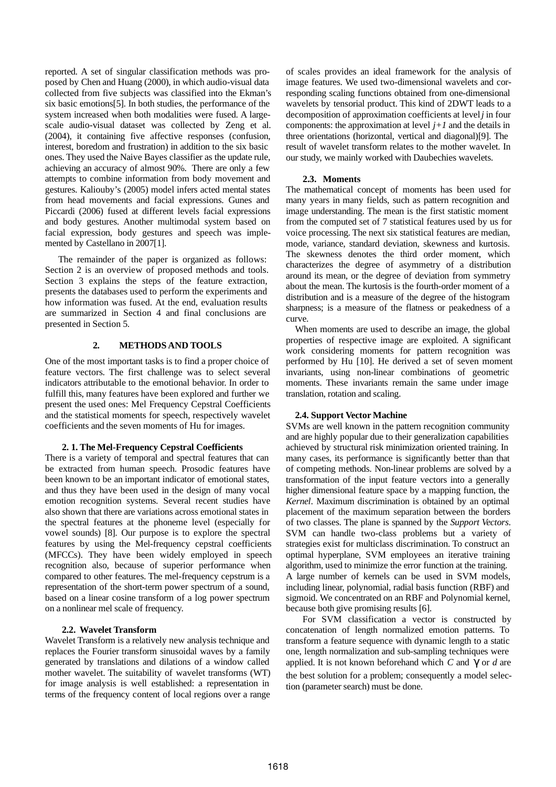reported. A set of singular classification methods was proposed by Chen and Huang (2000), in which audio-visual data collected from five subjects was classified into the Ekman's six basic emotions[5]. In both studies, the performance of the system increased when both modalities were fused. A largescale audio-visual dataset was collected by Zeng et al. (2004), it containing five affective responses (confusion, interest, boredom and frustration) in addition to the six basic ones. They used the Naive Bayes classifier as the update rule, achieving an accuracy of almost 90%. There are only a few attempts to combine information from body movement and gestures. Kaliouby's (2005) model infers acted mental states from head movements and facial expressions. Gunes and Piccardi (2006) fused at different levels facial expressions and body gestures. Another multimodal system based on facial expression, body gestures and speech was implemented by Castellano in 2007[1].

The remainder of the paper is organized as follows: Section 2 is an overview of proposed methods and tools. Section 3 explains the steps of the feature extraction, presents the databases used to perform the experiments and how information was fused. At the end, evaluation results are summarized in Section 4 and final conclusions are presented in Section 5.

## **2. METHODS AND TOOLS**

One of the most important tasks is to find a proper choice of feature vectors. The first challenge was to select several indicators attributable to the emotional behavior. In order to fulfill this, many features have been explored and further we present the used ones: Mel Frequency Cepstral Coefficients and the statistical moments for speech, respectively wavelet coefficients and the seven moments of Hu for images.

## **2. 1. The Mel-Frequency Cepstral Coefficients**

There is a variety of temporal and spectral features that can be extracted from human speech. Prosodic features have been known to be an important indicator of emotional states, and thus they have been used in the design of many vocal emotion recognition systems. Several recent studies have also shown that there are variations across emotional states in the spectral features at the phoneme level (especially for vowel sounds) [8]. Our purpose is to explore the spectral features by using the Mel-frequency cepstral coefficients (MFCCs). They have been widely employed in speech recognition also, because of superior performance when compared to other features. The mel-frequency cepstrum is a representation of the short-term power spectrum of a sound, based on a linear cosine transform of a log power spectrum on a nonlinear mel scale of frequency.

## **2.2. Wavelet Transform**

Wavelet Transform is a relatively new analysis technique and replaces the Fourier transform sinusoidal waves by a family generated by translations and dilations of a window called mother wavelet. The suitability of wavelet transforms (WT) for image analysis is well established: a representation in terms of the frequency content of local regions over a range of scales provides an ideal framework for the analysis of image features. We used two-dimensional wavelets and corresponding scaling functions obtained from one-dimensional wavelets by tensorial product. This kind of 2DWT leads to a decomposition of approximation coefficients at level *j* in four components: the approximation at level  $j+1$  and the details in three orientations (horizontal, vertical and diagonal)[9]. The result of wavelet transform relates to the mother wavelet. In our study, we mainly worked with Daubechies wavelets.

## **2.3. Moments**

The mathematical concept of moments has been used for many years in many fields, such as pattern recognition and image understanding. The mean is the first statistic moment from the computed set of 7 statistical features used by us for voice processing. The next six statistical features are median, mode, variance, standard deviation, skewness and kurtosis. The skewness denotes the third order moment, which characterizes the degree of asymmetry of a distribution around its mean, or the degree of deviation from symmetry about the mean. The kurtosis is the fourth-order moment of a distribution and is a measure of the degree of the histogram sharpness; is a measure of the flatness or peakedness of a curve.

When moments are used to describe an image, the global properties of respective image are exploited. A significant work considering moments for pattern recognition was performed by Hu [10]. He derived a set of seven moment invariants, using non-linear combinations of geometric moments. These invariants remain the same under image translation, rotation and scaling.

## **2.4. Support Vector Machine**

SVMs are well known in the pattern recognition community and are highly popular due to their generalization capabilities achieved by structural risk minimization oriented training. In many cases, its performance is significantly better than that of competing methods. Non-linear problems are solved by a transformation of the input feature vectors into a generally higher dimensional feature space by a mapping function, the *Kernel*. Maximum discrimination is obtained by an optimal placement of the maximum separation between the borders of two classes. The plane is spanned by the *Support Vectors*. SVM can handle two-class problems but a variety of strategies exist for multiclass discrimination. To construct an optimal hyperplane, SVM employees an iterative training algorithm, used to minimize the error function at the training. A large number of kernels can be used in SVM models, including linear, polynomial, radial basis function (RBF) and sigmoid. We concentrated on an RBF and Polynomial kernel, because both give promising results [6].

For SVM classification a vector is constructed by concatenation of length normalized emotion patterns. To transform a feature sequence with dynamic length to a static one, length normalization and sub-sampling techniques were applied. It is not known beforehand which *C* and *g* or *d* are the best solution for a problem; consequently a model selection (parameter search) must be done.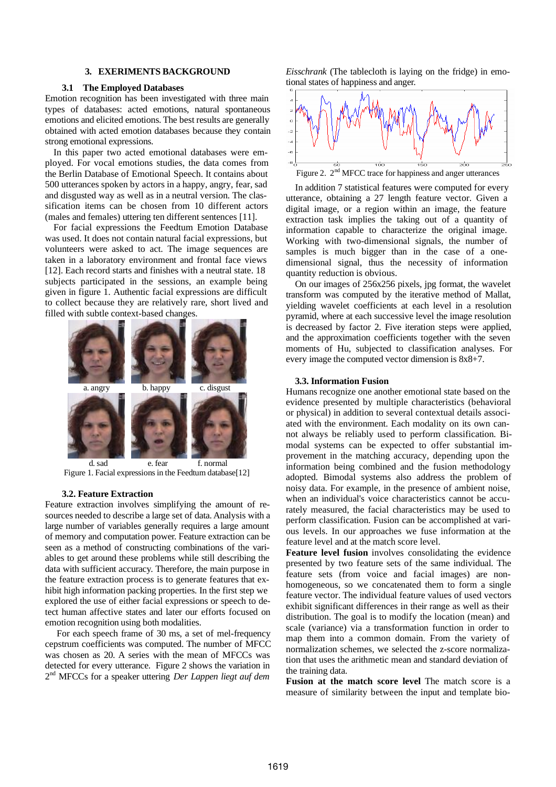## **3. EXERIMENTS BACKGROUND**

#### **3.1 The Employed Databases**

Emotion recognition has been investigated with three main types of databases: acted emotions, natural spontaneous emotions and elicited emotions. The best results are generally obtained with acted emotion databases because they contain strong emotional expressions.

In this paper two acted emotional databases were employed. For vocal emotions studies, the data comes from the Berlin Database of Emotional Speech. It contains about 500 utterances spoken by actors in a happy, angry, fear, sad and disgusted way as well as in a neutral version. The classification items can be chosen from 10 different actors (males and females) uttering ten different sentences [11].

For facial expressions the Feedtum Emotion Database was used. It does not contain natural facial expressions, but volunteers were asked to act. The image sequences are taken in a laboratory environment and frontal face views [12]. Each record starts and finishes with a neutral state. 18 subjects participated in the sessions, an example being given in figure 1. Authentic facial expressions are difficult to collect because they are relatively rare, short lived and filled with subtle context-based changes.



Figure 1. Facial expressions in the Feedtum database[12]

#### **3.2. Feature Extraction**

Feature extraction involves simplifying the amount of resources needed to describe a large set of data. Analysis with a large number of variables generally requires a large amount of memory and computation power. Feature extraction can be seen as a method of constructing combinations of the variables to get around these problems while still describing the data with sufficient accuracy. Therefore, the main purpose in the feature extraction process is to generate features that exhibit high information packing properties. In the first step we explored the use of either facial expressions or speech to detect human affective states and later our efforts focused on emotion recognition using both modalities.

For each speech frame of 30 ms, a set of mel-frequency cepstrum coefficients was computed. The number of MFCC was chosen as 20. A series with the mean of MFCCs was detected for every utterance. Figure 2 shows the variation in 2 nd MFCCs for a speaker uttering *Der Lappen liegt auf dem*  *Eisschrank* (The tablecloth is laying on the fridge) in emotional states of happiness and anger.



Figure 2.  $2<sup>nd</sup>$  MFCC trace for happiness and anger utterances

In addition 7 statistical features were computed for every utterance, obtaining a 27 length feature vector. Given a digital image, or a region within an image, the feature extraction task implies the taking out of a quantity of information capable to characterize the original image. Working with two-dimensional signals, the number of samples is much bigger than in the case of a onedimensional signal, thus the necessity of information quantity reduction is obvious.

On our images of 256x256 pixels, jpg format, the wavelet transform was computed by the iterative method of Mallat, yielding wavelet coefficients at each level in a resolution pyramid, where at each successive level the image resolution is decreased by factor 2. Five iteration steps were applied, and the approximation coefficients together with the seven moments of Hu, subjected to classification analyses. For every image the computed vector dimension is 8x8+7.

#### **3.3. Information Fusion**

Humans recognize one another emotional state based on the evidence presented by multiple characteristics (behavioral or physical) in addition to several contextual details associated with the environment. Each modality on its own cannot always be reliably used to perform classification. Bimodal systems can be expected to offer substantial improvement in the matching accuracy, depending upon the information being combined and the fusion methodology adopted. Bimodal systems also address the problem of noisy data. For example, in the presence of ambient noise, when an individual's voice characteristics cannot be accurately measured, the facial characteristics may be used to perform classification. Fusion can be accomplished at various levels. In our approaches we fuse information at the feature level and at the match score level.

**Feature level fusion** involves consolidating the evidence presented by two feature sets of the same individual. The feature sets (from voice and facial images) are nonhomogeneous, so we concatenated them to form a single feature vector. The individual feature values of used vectors exhibit significant differences in their range as well as their distribution. The goal is to modify the location (mean) and scale (variance) via a transformation function in order to map them into a common domain. From the variety of normalization schemes, we selected the z-score normalization that uses the arithmetic mean and standard deviation of the training data.

**Fusion at the match score level** The match score is a measure of similarity between the input and template bio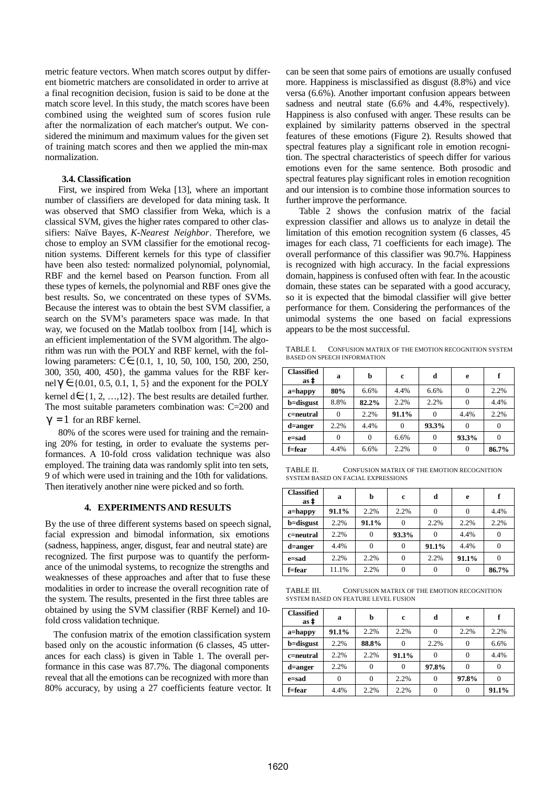metric feature vectors. When match scores output by different biometric matchers are consolidated in order to arrive at a final recognition decision, fusion is said to be done at the match score level. In this study, the match scores have been combined using the weighted sum of scores fusion rule after the normalization of each matcher's output. We considered the minimum and maximum values for the given set of training match scores and then we applied the min-max normalization.

## **3.4. Classification**

First, we inspired from Weka [13], where an important number of classifiers are developed for data mining task. It was observed that SMO classifier from Weka, which is a classical SVM, gives the higher rates compared to other classifiers: Naïve Bayes, *K-Nearest Neighbor*. Therefore, we chose to employ an SVM classifier for the emotional recognition systems. Different kernels for this type of classifier have been also tested: normalized polynomial, polynomial, RBF and the kernel based on Pearson function. From all these types of kernels, the polynomial and RBF ones give the best results. So, we concentrated on these types of SVMs. Because the interest was to obtain the best SVM classifier, a search on the SVM's parameters space was made. In that way, we focused on the Matlab toolbox from [14], which is an efficient implementation of the SVM algorithm. The algorithm was run with the POLY and RBF kernel, with the following parameters: C∈{0.1, 1, 10, 50, 100, 150, 200, 250, 300, 350, 400, 450}, the gamma values for the RBF kernel  $g \in \{0.01, 0.5, 0.1, 1, 5\}$  and the exponent for the POLY kernel d∈{1, 2, …, 12}. The best results are detailed further. The most suitable parameters combination was: C=200 and  $g = 1$  for an RBF kernel.

80% of the scores were used for training and the remaining 20% for testing, in order to evaluate the systems performances. A 10-fold cross validation technique was also employed. The training data was randomly split into ten sets, 9 of which were used in training and the 10th for validations. Then iteratively another nine were picked and so forth.

## **4. EXPERIMENTS AND RESULTS**

By the use of three different systems based on speech signal, facial expression and bimodal information, six emotions (sadness, happiness, anger, disgust, fear and neutral state) are recognized. The first purpose was to quantify the performance of the unimodal systems, to recognize the strengths and weaknesses of these approaches and after that to fuse these modalities in order to increase the overall recognition rate of the system. The results, presented in the first three tables are obtained by using the SVM classifier (RBF Kernel) and 10 fold cross validation technique.

The confusion matrix of the emotion classification system based only on the acoustic information (6 classes, 45 utterances for each class) is given in Table 1. The overall performance in this case was 87.7%. The diagonal components reveal that all the emotions can be recognized with more than 80% accuracy, by using a 27 coefficients feature vector. It can be seen that some pairs of emotions are usually confused more. Happiness is misclassified as disgust (8.8%) and vice versa (6.6%). Another important confusion appears between sadness and neutral state  $(6.6\%$  and 4.4%, respectively). Happiness is also confused with anger. These results can be explained by similarity patterns observed in the spectral features of these emotions (Figure 2). Results showed that spectral features play a significant role in emotion recognition. The spectral characteristics of speech differ for various emotions even for the same sentence. Both prosodic and spectral features play significant roles in emotion recognition and our intension is to combine those information sources to further improve the performance.

Table 2 shows the confusion matrix of the facial expression classifier and allows us to analyze in detail the limitation of this emotion recognition system (6 classes, 45 images for each class, 71 coefficients for each image). The overall performance of this classifier was 90.7%. Happiness is recognized with high accuracy. In the facial expressions domain, happiness is confused often with fear. In the acoustic domain, these states can be separated with a good accuracy, so it is expected that the bimodal classifier will give better performance for them. Considering the performances of the unimodal systems the one based on facial expressions appears to be the most successful.

TABLE I. CONFUSION MATRIX OF THE EMOTION RECOGNITION SYSTEM BASED ON SPEECH INFORMATION

| <b>Classified</b><br>as à | a        | b     | c     | d     | e     | f     |
|---------------------------|----------|-------|-------|-------|-------|-------|
| $a =$ happy               | 80%      | 6.6%  | 4.4%  | 6.6%  |       | 2.2%  |
| b=disgust                 | 8.8%     | 82.2% | 2.2%  | 2.2%  |       | 4.4%  |
| c=neutral                 | $\Omega$ | 2.2%  | 91.1% |       | 4.4%  | 2.2%  |
| d=anger                   | 2.2%     | 4.4%  | 0     | 93.3% | 0     |       |
| e=sad                     | 0        | 0     | 6.6%  |       | 93.3% |       |
| f=fear                    | 4.4%     | 6.6%  | 2.2%  |       |       | 86.7% |

TABLE II. CONFUSION MATRIX OF THE EMOTION RECOGNITION SYSTEM BASED ON FACIAL EXPRESSIONS

| <b>Classified</b><br>as à | a     | b        | c     | d     | e     | f     |
|---------------------------|-------|----------|-------|-------|-------|-------|
| $a =$ happy               | 91.1% | 2.2%     | 2.2%  |       |       | 4.4%  |
| b=disgust                 | 2.2%  | 91.1%    |       | 2.2%  | 2.2%  | 2.2%  |
| c=neutral                 | 2.2%  | 0        | 93.3% |       | 4.4%  |       |
| d=anger                   | 4.4%  | $\Omega$ |       | 91.1% | 4.4%  |       |
| e=sad                     | 2.2%  | 2.2%     |       | 2.2%  | 91.1% |       |
| f=fear                    | 11.1% | 2.2%     |       |       |       | 86.7% |

TABLE III. CONFUSION MATRIX OF THE EMOTION RECOGNITION SYSTEM BASED ON FEATURE LEVEL FUSION

| <b>Classified</b><br>as à | a     | b     | c     | d     | e     | ₽     |
|---------------------------|-------|-------|-------|-------|-------|-------|
| $a =$ happy               | 91.1% | 2.2%  | 2.2%  |       | 2.2%  | 2.2%  |
| b=disgust                 | 2.2%  | 88.8% |       | 2.2%  |       | 6.6%  |
| c=neutral                 | 2.2%  | 2.2%  | 91.1% |       |       | 4.4%  |
| d=anger                   | 2.2%  |       |       | 97.8% |       |       |
| e=sad                     | 0     |       | 2.2%  |       | 97.8% |       |
| f=fear                    | 4.4%  | 2.2%  | 2.2%  |       |       | 91.1% |